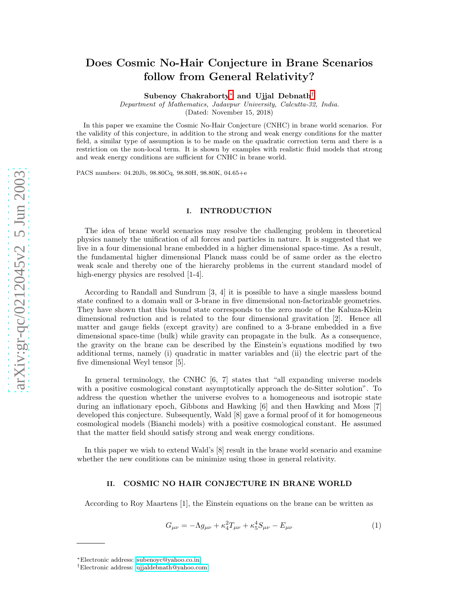# Does Cosmic No-Hair Conjecture in Brane Scenarios follow from General Relativity?

 ${\rm Subenoy}$   ${\rm Chakraborty}^*$  and Ujjal  ${\rm Debnath}^\dagger$ 

Department of Mathematics, Jadavpur University, Calcutta-32, India.

(Dated: November 15, 2018)

In this paper we examine the Cosmic No-Hair Conjecture (CNHC) in brane world scenarios. For the validity of this conjecture, in addition to the strong and weak energy conditions for the matter field, a similar type of assumption is to be made on the quadratic correction term and there is a restriction on the non-local term. It is shown by examples with realistic fluid models that strong and weak energy conditions are sufficient for CNHC in brane world.

PACS numbers: 04.20Jb, 98.80Cq, 98.80H, 98.80K, 04.65+e

# I. INTRODUCTION

The idea of brane world scenarios may resolve the challenging problem in theoretical physics namely the unification of all forces and particles in nature. It is suggested that we live in a four dimensional brane embedded in a higher dimensional space-time. As a result, the fundamental higher dimensional Planck mass could be of same order as the electro weak scale and thereby one of the hierarchy problems in the current standard model of high-energy physics are resolved [1-4].

According to Randall and Sundrum [3, 4] it is possible to have a single massless bound state confined to a domain wall or 3-brane in five dimensional non-factorizable geometries. They have shown that this bound state corresponds to the zero mode of the Kaluza-Klein dimensional reduction and is related to the four dimensional gravitation [2]. Hence all matter and gauge fields (except gravity) are confined to a 3-brane embedded in a five dimensional space-time (bulk) while gravity can propagate in the bulk. As a consequence, the gravity on the brane can be described by the Einstein's equations modified by two additional terms, namely (i) quadratic in matter variables and (ii) the electric part of the five dimensional Weyl tensor [5].

In general terminology, the CNHC [6, 7] states that "all expanding universe models with a positive cosmological constant asymptotically approach the de-Sitter solution". To address the question whether the universe evolves to a homogeneous and isotropic state during an inflationary epoch, Gibbons and Hawking [6] and then Hawking and Moss [7] developed this conjecture. Subsequently, Wald [8] gave a formal proof of it for homogeneous cosmological models (Bianchi models) with a positive cosmological constant. He assumed that the matter field should satisfy strong and weak energy conditions.

In this paper we wish to extend Wald's [8] result in the brane world scenario and examine whether the new conditions can be minimize using those in general relativity.

#### II. COSMIC NO HAIR CONJECTURE IN BRANE WORLD

According to Roy Maartens [1], the Einstein equations on the brane can be written as

$$
G_{\mu\nu} = -\Lambda g_{\mu\nu} + \kappa_4^2 T_{\mu\nu} + \kappa_5^4 S_{\mu\nu} - E_{\mu\nu}
$$
 (1)

<span id="page-0-1"></span><span id="page-0-0"></span><sup>∗</sup>Electronic address: [subenoyc@yahoo.co.in](mailto:subenoyc@yahoo.co.in)

<sup>†</sup>Electronic address: [ujjaldebnath@yahoo.com](mailto:ujjaldebnath@yahoo.com)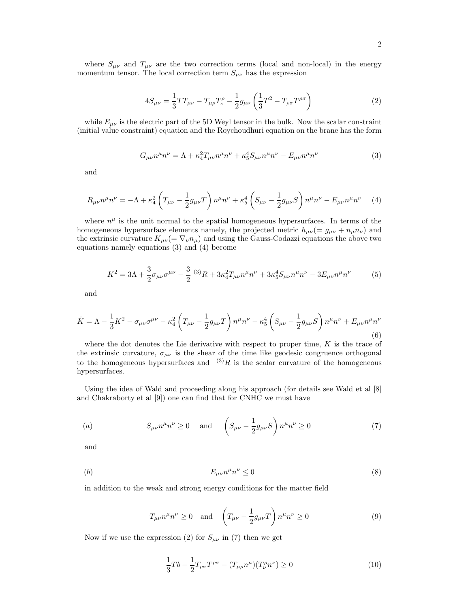where  $S_{\mu\nu}$  and  $T_{\mu\nu}$  are the two correction terms (local and non-local) in the energy momentum tensor. The local correction term  $S_{\mu\nu}$  has the expression

$$
4S_{\mu\nu} = \frac{1}{3}TT_{\mu\nu} - T_{\mu\rho}T^{\rho}_{\nu} - \frac{1}{2}g_{\mu\nu}\left(\frac{1}{3}T^2 - T_{\rho\sigma}T^{\rho\sigma}\right)
$$
(2)

while  $E_{\mu\nu}$  is the electric part of the 5D Weyl tensor in the bulk. Now the scalar constraint (initial value constraint) equation and the Roychoudhuri equation on the brane has the form

$$
G_{\mu\nu}n^{\mu}n^{\nu} = \Lambda + \kappa_4^2 T_{\mu\nu}n^{\mu}n^{\nu} + \kappa_5^4 S_{\mu\nu}n^{\mu}n^{\nu} - E_{\mu\nu}n^{\mu}n^{\nu}
$$
 (3)

and

$$
R_{\mu\nu}n^{\mu}n^{\nu} = -\Lambda + \kappa_4^2 \left( T_{\mu\nu} - \frac{1}{2} g_{\mu\nu} T \right) n^{\mu}n^{\nu} + \kappa_5^4 \left( S_{\mu\nu} - \frac{1}{2} g_{\mu\nu} S \right) n^{\mu}n^{\nu} - E_{\mu\nu}n^{\mu}n^{\nu} \tag{4}
$$

where  $n^{\mu}$  is the unit normal to the spatial homogeneous hypersurfaces. In terms of the homogeneous hypersurface elements namely, the projected metric  $h_{\mu\nu} (= g_{\mu\nu} + n_{\mu}n_{\nu})$  and the extrinsic curvature  $K_{\mu\nu}$  =  $\nabla_{\nu}n_{\mu}$  and using the Gauss-Codazzi equations the above two equations namely equations (3) and (4) become

$$
K^{2} = 3\Lambda + \frac{3}{2}\sigma_{\mu\nu}\sigma^{\mu\nu} - \frac{3}{2} {}^{(3)}R + 3\kappa_{4}^{2}T_{\mu\nu}n^{\mu}n^{\nu} + 3\kappa_{5}^{4}S_{\mu\nu}n^{\mu}n^{\nu} - 3E_{\mu\nu}n^{\mu}n^{\nu}
$$
 (5)

and

$$
\dot{K} = \Lambda - \frac{1}{3}K^2 - \sigma_{\mu\nu}\sigma^{\mu\nu} - \kappa_4^2 \left(T_{\mu\nu} - \frac{1}{2}g_{\mu\nu}T\right)n^{\mu}n^{\nu} - \kappa_5^4 \left(S_{\mu\nu} - \frac{1}{2}g_{\mu\nu}S\right)n^{\mu}n^{\nu} + E_{\mu\nu}n^{\mu}n^{\nu}
$$
\n(6)

where the dot denotes the Lie derivative with respect to proper time,  $K$  is the trace of the extrinsic curvature,  $\sigma_{\mu\nu}$  is the shear of the time like geodesic congruence orthogonal to the homogeneous hypersurfaces and  $(3)R$  is the scalar curvature of the homogeneous hypersurfaces.

Using the idea of Wald and proceeding along his approach (for details see Wald et al [8] and Chakraborty et al [9]) one can find that for CNHC we must have

(a) 
$$
S_{\mu\nu}n^{\mu}n^{\nu} \ge 0 \quad \text{and} \quad \left(S_{\mu\nu} - \frac{1}{2}g_{\mu\nu}S\right)n^{\mu}n^{\nu} \ge 0 \tag{7}
$$

and

$$
(b) \t E_{\mu\nu} n^{\mu} n^{\nu} \le 0 \t (8)
$$

in addition to the weak and strong energy conditions for the matter field

$$
T_{\mu\nu}n^{\mu}n^{\nu} \ge 0 \quad \text{and} \quad \left(T_{\mu\nu} - \frac{1}{2}g_{\mu\nu}T\right)n^{\mu}n^{\nu} \ge 0 \tag{9}
$$

Now if we use the expression (2) for  $S_{\mu\nu}$  in (7) then we get

$$
\frac{1}{3}Tb - \frac{1}{2}T_{\rho\sigma}T^{\rho\sigma} - (T_{\mu\rho}n^{\mu})(T_{\nu}^{\rho}n^{\nu}) \ge 0
$$
\n(10)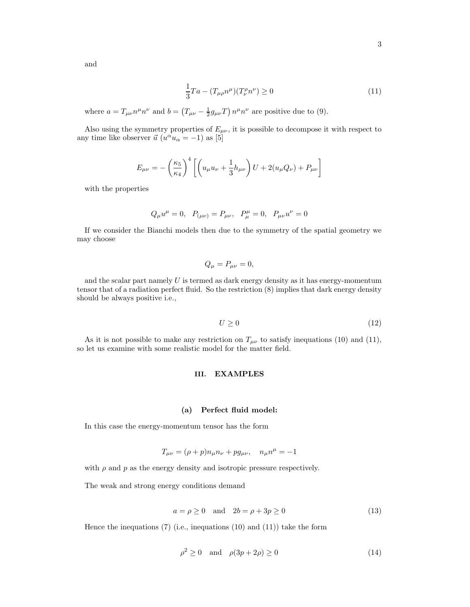and

$$
\frac{1}{3}Ta - (T_{\mu\rho}n^{\mu})(T_{\nu}^{\rho}n^{\nu}) \ge 0
$$
\n(11)

where  $a = T_{\mu\nu}n^{\mu}n^{\nu}$  and  $b = (T_{\mu\nu} - \frac{1}{2}g_{\mu\nu}T)n^{\mu}n^{\nu}$  are positive due to (9).

Also using the symmetry properties of  $E_{\mu\nu}$ , it is possible to decompose it with respect to any time like observer  $\vec{u}$  ( $u^{\alpha}u_{\alpha} = -1$ ) as [5]

$$
E_{\mu\nu} = -\left(\frac{\kappa_5}{\kappa_4}\right)^4 \left[ \left( u_{\mu} u_{\nu} + \frac{1}{3} h_{\mu\nu} \right) U + 2(u_{\mu} Q_{\nu}) + P_{\mu\nu} \right]
$$

with the properties

$$
Q_{\mu}u^{\mu} = 0
$$
,  $P_{(\mu\nu)} = P_{\mu\nu}$ ,  $P^{\mu}_{\mu} = 0$ ,  $P_{\mu\nu}u^{\nu} = 0$ 

If we consider the Bianchi models then due to the symmetry of the spatial geometry we may choose

$$
Q_{\mu} = P_{\mu\nu} = 0,
$$

and the scalar part namely  $U$  is termed as dark energy density as it has energy-momentum tensor that of a radiation perfect fluid. So the restriction (8) implies that dark energy density should be always positive i.e.,

$$
U \ge 0\tag{12}
$$

As it is not possible to make any restriction on  $T_{\mu\nu}$  to satisfy inequations (10) and (11), so let us examine with some realistic model for the matter field.

## III. EXAMPLES

#### (a) Perfect fluid model:

In this case the energy-momentum tensor has the form

$$
T_{\mu\nu}=(\rho+p)n_\mu n_\nu+pg_{\mu\nu},\quad n_\mu n^\mu=-1
$$

with  $\rho$  and  $p$  as the energy density and isotropic pressure respectively.

The weak and strong energy conditions demand

$$
a = \rho \ge 0 \quad \text{and} \quad 2b = \rho + 3p \ge 0 \tag{13}
$$

Hence the inequations  $(7)$  (i.e., inequations  $(10)$  and  $(11)$ ) take the form

$$
\rho^2 \ge 0 \quad \text{and} \quad \rho(3p + 2\rho) \ge 0 \tag{14}
$$